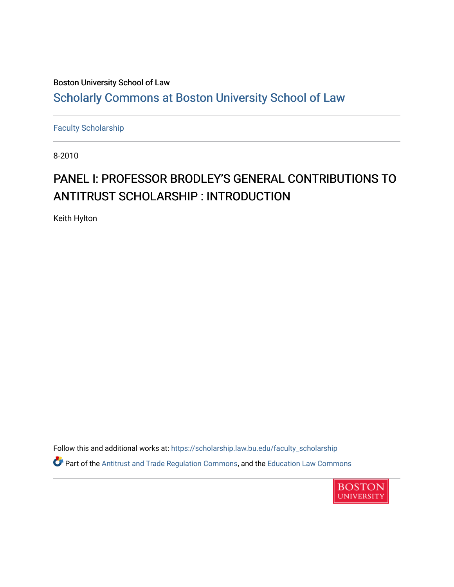## Boston University School of Law [Scholarly Commons at Boston University School of Law](https://scholarship.law.bu.edu/)

[Faculty Scholarship](https://scholarship.law.bu.edu/faculty_scholarship)

8-2010

# PANEL I: PROFESSOR BRODLEY'S GENERAL CONTRIBUTIONS TO ANTITRUST SCHOLARSHIP : INTRODUCTION

Keith Hylton

Follow this and additional works at: [https://scholarship.law.bu.edu/faculty\\_scholarship](https://scholarship.law.bu.edu/faculty_scholarship?utm_source=scholarship.law.bu.edu%2Ffaculty_scholarship%2F716&utm_medium=PDF&utm_campaign=PDFCoverPages) Part of the [Antitrust and Trade Regulation Commons,](http://network.bepress.com/hgg/discipline/911?utm_source=scholarship.law.bu.edu%2Ffaculty_scholarship%2F716&utm_medium=PDF&utm_campaign=PDFCoverPages) and the [Education Law Commons](http://network.bepress.com/hgg/discipline/596?utm_source=scholarship.law.bu.edu%2Ffaculty_scholarship%2F716&utm_medium=PDF&utm_campaign=PDFCoverPages)

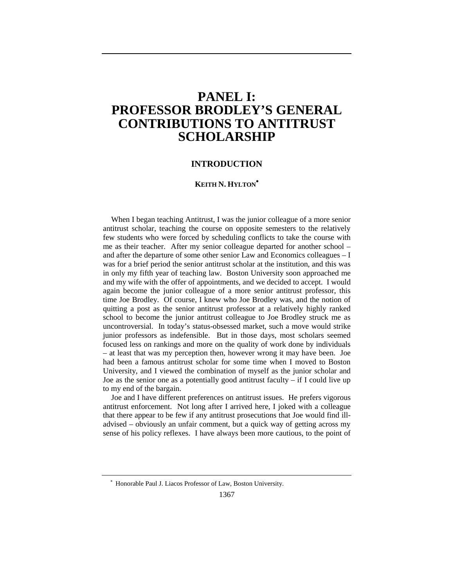### **PANEL I: PROFESSOR BRODLEY'S GENERAL CONTRIBUTIONS TO ANTITRUST SCHOLARSHIP**

### **INTRODUCTION**

#### **KEITH N. HYLTON**<sup>∗</sup>

When I began teaching Antitrust, I was the junior colleague of a more senior antitrust scholar, teaching the course on opposite semesters to the relatively few students who were forced by scheduling conflicts to take the course with me as their teacher. After my senior colleague departed for another school – and after the departure of some other senior Law and Economics colleagues – I was for a brief period the senior antitrust scholar at the institution, and this was in only my fifth year of teaching law. Boston University soon approached me and my wife with the offer of appointments, and we decided to accept. I would again become the junior colleague of a more senior antitrust professor, this time Joe Brodley. Of course, I knew who Joe Brodley was, and the notion of quitting a post as the senior antitrust professor at a relatively highly ranked school to become the junior antitrust colleague to Joe Brodley struck me as uncontroversial. In today's status-obsessed market, such a move would strike junior professors as indefensible. But in those days, most scholars seemed focused less on rankings and more on the quality of work done by individuals – at least that was my perception then, however wrong it may have been. Joe had been a famous antitrust scholar for some time when I moved to Boston University, and I viewed the combination of myself as the junior scholar and Joe as the senior one as a potentially good antitrust faculty – if I could live up to my end of the bargain.

Joe and I have different preferences on antitrust issues. He prefers vigorous antitrust enforcement. Not long after I arrived here, I joked with a colleague that there appear to be few if any antitrust prosecutions that Joe would find illadvised – obviously an unfair comment, but a quick way of getting across my sense of his policy reflexes. I have always been more cautious, to the point of

<sup>∗</sup> Honorable Paul J. Liacos Professor of Law, Boston University.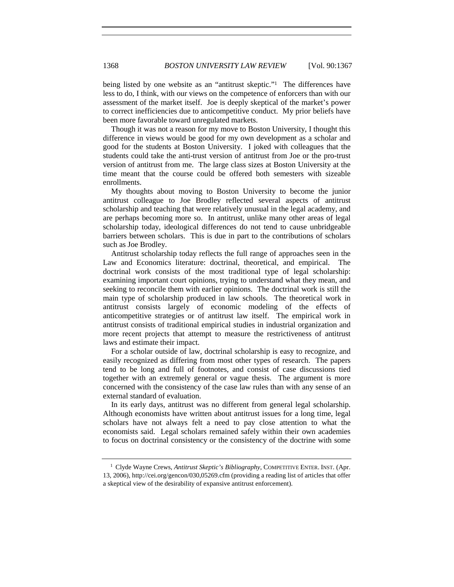being listed by one website as an "antitrust skeptic."<sup>1</sup> The differences have less to do, I think, with our views on the competence of enforcers than with our assessment of the market itself. Joe is deeply skeptical of the market's power to correct inefficiencies due to anticompetitive conduct. My prior beliefs have been more favorable toward unregulated markets.

Though it was not a reason for my move to Boston University, I thought this difference in views would be good for my own development as a scholar and good for the students at Boston University. I joked with colleagues that the students could take the anti-trust version of antitrust from Joe or the pro-trust version of antitrust from me. The large class sizes at Boston University at the time meant that the course could be offered both semesters with sizeable enrollments.

My thoughts about moving to Boston University to become the junior antitrust colleague to Joe Brodley reflected several aspects of antitrust scholarship and teaching that were relatively unusual in the legal academy, and are perhaps becoming more so. In antitrust, unlike many other areas of legal scholarship today, ideological differences do not tend to cause unbridgeable barriers between scholars. This is due in part to the contributions of scholars such as Joe Brodley.

Antitrust scholarship today reflects the full range of approaches seen in the Law and Economics literature: doctrinal, theoretical, and empirical. The doctrinal work consists of the most traditional type of legal scholarship: examining important court opinions, trying to understand what they mean, and seeking to reconcile them with earlier opinions. The doctrinal work is still the main type of scholarship produced in law schools. The theoretical work in antitrust consists largely of economic modeling of the effects of anticompetitive strategies or of antitrust law itself. The empirical work in antitrust consists of traditional empirical studies in industrial organization and more recent projects that attempt to measure the restrictiveness of antitrust laws and estimate their impact.

For a scholar outside of law, doctrinal scholarship is easy to recognize, and easily recognized as differing from most other types of research. The papers tend to be long and full of footnotes, and consist of case discussions tied together with an extremely general or vague thesis. The argument is more concerned with the consistency of the case law rules than with any sense of an external standard of evaluation.

In its early days, antitrust was no different from general legal scholarship. Although economists have written about antitrust issues for a long time, legal scholars have not always felt a need to pay close attention to what the economists said. Legal scholars remained safely within their own academies to focus on doctrinal consistency or the consistency of the doctrine with some

<sup>&</sup>lt;sup>1</sup> Clyde Wayne Crews, *Antitrust Skeptic's Bibliography*, COMPETITIVE ENTER. INST. (Apr. 13, 2006), http://cei.org/gencon/030,05269.cfm (providing a reading list of articles that offer a skeptical view of the desirability of expansive antitrust enforcement).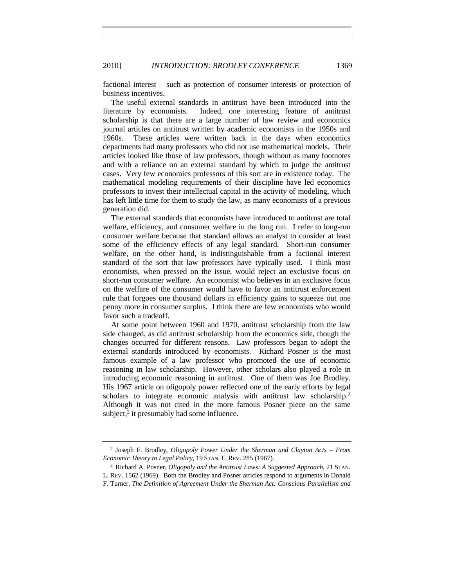factional interest – such as protection of consumer interests or protection of business incentives.

The useful external standards in antitrust have been introduced into the literature by economists. Indeed, one interesting feature of antitrust scholarship is that there are a large number of law review and economics journal articles on antitrust written by academic economists in the 1950s and 1960s. These articles were written back in the days when economics departments had many professors who did not use mathematical models. Their articles looked like those of law professors, though without as many footnotes and with a reliance on an external standard by which to judge the antitrust cases. Very few economics professors of this sort are in existence today. The mathematical modeling requirements of their discipline have led economics professors to invest their intellectual capital in the activity of modeling, which has left little time for them to study the law, as many economists of a previous generation did.

The external standards that economists have introduced to antitrust are total welfare, efficiency, and consumer welfare in the long run. I refer to long-run consumer welfare because that standard allows an analyst to consider at least some of the efficiency effects of any legal standard. Short-run consumer welfare, on the other hand, is indistinguishable from a factional interest standard of the sort that law professors have typically used. I think most economists, when pressed on the issue, would reject an exclusive focus on short-run consumer welfare. An economist who believes in an exclusive focus on the welfare of the consumer would have to favor an antitrust enforcement rule that forgoes one thousand dollars in efficiency gains to squeeze out one penny more in consumer surplus. I think there are few economists who would favor such a tradeoff.

At some point between 1960 and 1970, antitrust scholarship from the law side changed, as did antitrust scholarship from the economics side, though the changes occurred for different reasons. Law professors began to adopt the external standards introduced by economists. Richard Posner is the most famous example of a law professor who promoted the use of economic reasoning in law scholarship. However, other scholars also played a role in introducing economic reasoning in antitrust. One of them was Joe Brodley. His 1967 article on oligopoly power reflected one of the early efforts by legal scholars to integrate economic analysis with antitrust law scholarship.<sup>2</sup> Although it was not cited in the more famous Posner piece on the same subject, $3$  it presumably had some influence.

<sup>2</sup> Joseph F. Brodley, *Oligopoly Power Under the Sherman and Clayton Acts – From Economic Theory to Legal Policy*, 19 STAN. L. REV. 285 (1967).

<sup>3</sup> Richard A. Posner, *Oligopoly and the Antitrust Laws: A Suggested Approach*, 21 STAN. L. REV. 1562 (1969). Both the Brodley and Posner articles respond to arguments in Donald F. Turner, *The Definition of Agreement Under the Sherman Act: Conscious Parallelism and*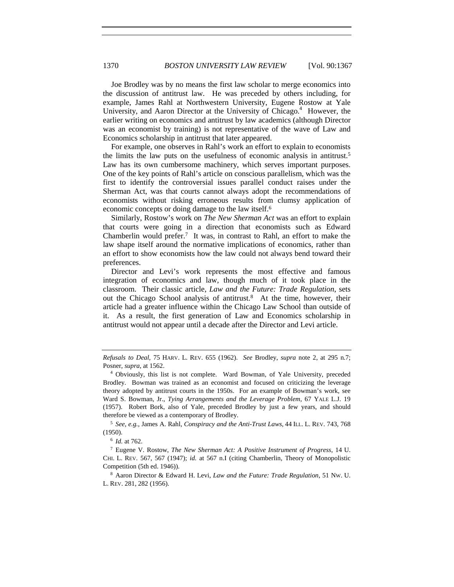Joe Brodley was by no means the first law scholar to merge economics into the discussion of antitrust law. He was preceded by others including, for example, James Rahl at Northwestern University, Eugene Rostow at Yale University, and Aaron Director at the University of Chicago.<sup>4</sup> However, the earlier writing on economics and antitrust by law academics (although Director was an economist by training) is not representative of the wave of Law and Economics scholarship in antitrust that later appeared.

For example, one observes in Rahl's work an effort to explain to economists the limits the law puts on the usefulness of economic analysis in antitrust.5 Law has its own cumbersome machinery, which serves important purposes. One of the key points of Rahl's article on conscious parallelism, which was the first to identify the controversial issues parallel conduct raises under the Sherman Act, was that courts cannot always adopt the recommendations of economists without risking erroneous results from clumsy application of economic concepts or doing damage to the law itself.6

Similarly, Rostow's work on *The New Sherman Act* was an effort to explain that courts were going in a direction that economists such as Edward Chamberlin would prefer.<sup>7</sup> It was, in contrast to Rahl, an effort to make the law shape itself around the normative implications of economics, rather than an effort to show economists how the law could not always bend toward their preferences.

Director and Levi's work represents the most effective and famous integration of economics and law, though much of it took place in the classroom. Their classic article, *Law and the Future: Trade Regulation*, sets out the Chicago School analysis of antitrust.<sup>8</sup> At the time, however, their article had a greater influence within the Chicago Law School than outside of it. As a result, the first generation of Law and Economics scholarship in antitrust would not appear until a decade after the Director and Levi article.

<sup>5</sup> *See, e.g.*, James A. Rahl, *Conspiracy and the Anti-Trust Laws*, 44 ILL. L. REV. 743, 768 (1950).

<sup>6</sup> *Id.* at 762.

<sup>7</sup> Eugene V. Rostow, *The New Sherman Act: A Positive Instrument of Progress*, 14 U. CHI. L. REV. 567, 567 (1947); *id.* at 567 n.I (citing Chamberlin, Theory of Monopolistic Competition (5th ed. 1946)).

<sup>8</sup> Aaron Director & Edward H. Levi, *Law and the Future: Trade Regulation*, 51 NW. U. L. REV. 281, 282 (1956).

*Refusals to Deal*, 75 HARV. L. REV. 655 (1962). *See* Brodley, *supra* note 2, at 295 n.7; Posner, *supra*, at 1562.<br><sup>4</sup> Obviously, this list is not complete. Ward Bowman, of Yale University, preceded

Brodley. Bowman was trained as an economist and focused on criticizing the leverage theory adopted by antitrust courts in the 1950s. For an example of Bowman's work, see Ward S. Bowman, Jr., *Tying Arrangements and the Leverage Problem*, 67 YALE L.J. 19 (1957). Robert Bork, also of Yale, preceded Brodley by just a few years, and should therefore be viewed as a contemporary of Brodley.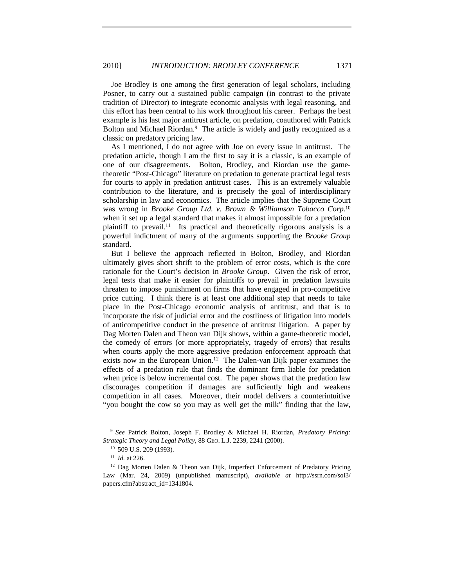Joe Brodley is one among the first generation of legal scholars, including Posner, to carry out a sustained public campaign (in contrast to the private tradition of Director) to integrate economic analysis with legal reasoning, and this effort has been central to his work throughout his career. Perhaps the best example is his last major antitrust article, on predation, coauthored with Patrick Bolton and Michael Riordan.<sup>9</sup> The article is widely and justly recognized as a classic on predatory pricing law.

As I mentioned, I do not agree with Joe on every issue in antitrust. The predation article, though I am the first to say it is a classic, is an example of one of our disagreements. Bolton, Brodley, and Riordan use the gametheoretic "Post-Chicago" literature on predation to generate practical legal tests for courts to apply in predation antitrust cases. This is an extremely valuable contribution to the literature, and is precisely the goal of interdisciplinary scholarship in law and economics. The article implies that the Supreme Court was wrong in *Brooke Group Ltd. v. Brown & Williamson Tobacco Corp.*<sup>10</sup> when it set up a legal standard that makes it almost impossible for a predation plaintiff to prevail.<sup>11</sup> Its practical and theoretically rigorous analysis is a powerful indictment of many of the arguments supporting the *Brooke Group* standard.

But I believe the approach reflected in Bolton, Brodley, and Riordan ultimately gives short shrift to the problem of error costs, which is the core rationale for the Court's decision in *Brooke Group*. Given the risk of error, legal tests that make it easier for plaintiffs to prevail in predation lawsuits threaten to impose punishment on firms that have engaged in pro-competitive price cutting. I think there is at least one additional step that needs to take place in the Post-Chicago economic analysis of antitrust, and that is to incorporate the risk of judicial error and the costliness of litigation into models of anticompetitive conduct in the presence of antitrust litigation. A paper by Dag Morten Dalen and Theon van Dijk shows, within a game-theoretic model, the comedy of errors (or more appropriately, tragedy of errors) that results when courts apply the more aggressive predation enforcement approach that exists now in the European Union.<sup>12</sup> The Dalen-van Dijk paper examines the effects of a predation rule that finds the dominant firm liable for predation when price is below incremental cost. The paper shows that the predation law discourages competition if damages are sufficiently high and weakens competition in all cases. Moreover, their model delivers a counterintuitive "you bought the cow so you may as well get the milk" finding that the law,

<sup>9</sup> *See* Patrick Bolton, Joseph F. Brodley & Michael H. Riordan, *Predatory Pricing: Strategic Theory and Legal Policy*, 88 GEO. L.J. 2239, 2241 (2000).

<sup>10</sup> 509 U.S. 209 (1993).

<sup>11</sup> *Id.* at 226.

 $12$  Dag Morten Dalen & Theon van Dijk, Imperfect Enforcement of Predatory Pricing Law (Mar. 24, 2009) (unpublished manuscript), *available at* http://ssrn.com/sol3/ papers.cfm?abstract\_id=1341804.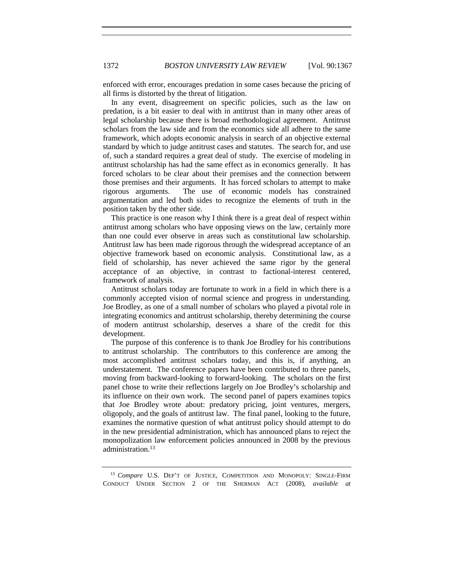enforced with error, encourages predation in some cases because the pricing of all firms is distorted by the threat of litigation.

In any event, disagreement on specific policies, such as the law on predation, is a bit easier to deal with in antitrust than in many other areas of legal scholarship because there is broad methodological agreement. Antitrust scholars from the law side and from the economics side all adhere to the same framework, which adopts economic analysis in search of an objective external standard by which to judge antitrust cases and statutes. The search for, and use of, such a standard requires a great deal of study. The exercise of modeling in antitrust scholarship has had the same effect as in economics generally. It has forced scholars to be clear about their premises and the connection between those premises and their arguments. It has forced scholars to attempt to make rigorous arguments. The use of economic models has constrained argumentation and led both sides to recognize the elements of truth in the position taken by the other side.

This practice is one reason why I think there is a great deal of respect within antitrust among scholars who have opposing views on the law, certainly more than one could ever observe in areas such as constitutional law scholarship. Antitrust law has been made rigorous through the widespread acceptance of an objective framework based on economic analysis. Constitutional law, as a field of scholarship, has never achieved the same rigor by the general acceptance of an objective, in contrast to factional-interest centered, framework of analysis.

Antitrust scholars today are fortunate to work in a field in which there is a commonly accepted vision of normal science and progress in understanding. Joe Brodley, as one of a small number of scholars who played a pivotal role in integrating economics and antitrust scholarship, thereby determining the course of modern antitrust scholarship, deserves a share of the credit for this development.

The purpose of this conference is to thank Joe Brodley for his contributions to antitrust scholarship. The contributors to this conference are among the most accomplished antitrust scholars today, and this is, if anything, an understatement. The conference papers have been contributed to three panels, moving from backward-looking to forward-looking. The scholars on the first panel chose to write their reflections largely on Joe Brodley's scholarship and its influence on their own work. The second panel of papers examines topics that Joe Brodley wrote about: predatory pricing, joint ventures, mergers, oligopoly, and the goals of antitrust law. The final panel, looking to the future, examines the normative question of what antitrust policy should attempt to do in the new presidential administration, which has announced plans to reject the monopolization law enforcement policies announced in 2008 by the previous administration.13

<sup>13</sup> *Compare* U.S. DEP'T OF JUSTICE, COMPETITION AND MONOPOLY: SINGLE-FIRM CONDUCT UNDER SECTION 2 OF THE SHERMAN ACT (2008), *available at*